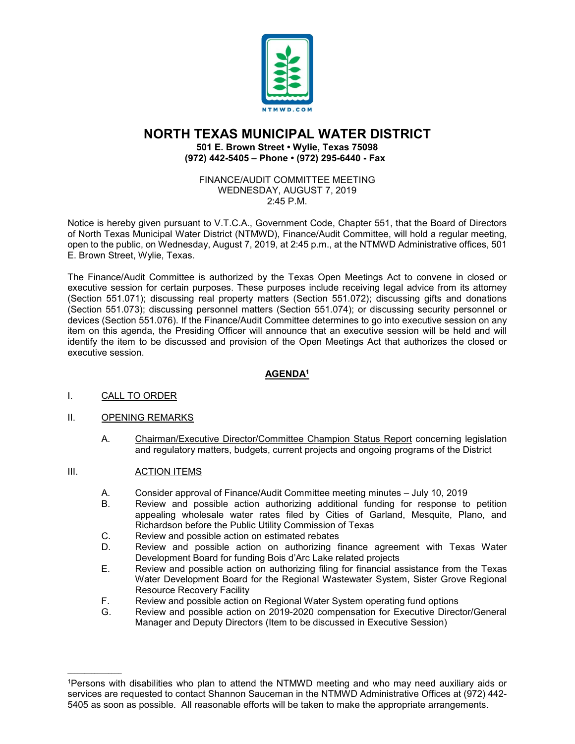

# **NORTH TEXAS MUNICIPAL WATER DISTRICT**

#### **501 E. Brown Street • Wylie, Texas 75098 (972) 442-5405 – Phone • (972) 295-6440 - Fax**

#### FINANCE/AUDIT COMMITTEE MEETING WEDNESDAY, AUGUST 7, 2019 2:45 P.M.

Notice is hereby given pursuant to V.T.C.A., Government Code, Chapter 551, that the Board of Directors of North Texas Municipal Water District (NTMWD), Finance/Audit Committee, will hold a regular meeting, open to the public, on Wednesday, August 7, 2019, at 2:45 p.m., at the NTMWD Administrative offices, 501 E. Brown Street, Wylie, Texas.

The Finance/Audit Committee is authorized by the Texas Open Meetings Act to convene in closed or executive session for certain purposes. These purposes include receiving legal advice from its attorney (Section 551.071); discussing real property matters (Section 551.072); discussing gifts and donations (Section 551.073); discussing personnel matters (Section 551.074); or discussing security personnel or devices (Section 551.076). If the Finance/Audit Committee determines to go into executive session on any item on this agenda, the Presiding Officer will announce that an executive session will be held and will identify the item to be discussed and provision of the Open Meetings Act that authorizes the closed or executive session.

## **AGENDA1**

I. CALL TO ORDER

### II. OPENING REMARKS

A. Chairman/Executive Director/Committee Champion Status Report concerning legislation and regulatory matters, budgets, current projects and ongoing programs of the District

### III. ACTION ITEMS

 $\overline{\phantom{a}}$  ,  $\overline{\phantom{a}}$  ,  $\overline{\phantom{a}}$  ,  $\overline{\phantom{a}}$  ,  $\overline{\phantom{a}}$  ,  $\overline{\phantom{a}}$  ,  $\overline{\phantom{a}}$  ,  $\overline{\phantom{a}}$  ,  $\overline{\phantom{a}}$  ,  $\overline{\phantom{a}}$  ,  $\overline{\phantom{a}}$  ,  $\overline{\phantom{a}}$  ,  $\overline{\phantom{a}}$  ,  $\overline{\phantom{a}}$  ,  $\overline{\phantom{a}}$  ,  $\overline{\phantom{a}}$ 

- A. Consider approval of Finance/Audit Committee meeting minutes July 10, 2019
- B. Review and possible action authorizing additional funding for response to petition appealing wholesale water rates filed by Cities of Garland, Mesquite, Plano, and Richardson before the Public Utility Commission of Texas
- C. Review and possible action on estimated rebates
- D. Review and possible action on authorizing finance agreement with Texas Water Development Board for funding Bois d'Arc Lake related projects
- E. Review and possible action on authorizing filing for financial assistance from the Texas Water Development Board for the Regional Wastewater System, Sister Grove Regional Resource Recovery Facility
- F. Review and possible action on Regional Water System operating fund options
- G. Review and possible action on 2019-2020 compensation for Executive Director/General Manager and Deputy Directors (Item to be discussed in Executive Session)

<sup>1</sup>Persons with disabilities who plan to attend the NTMWD meeting and who may need auxiliary aids or services are requested to contact Shannon Sauceman in the NTMWD Administrative Offices at (972) 442- 5405 as soon as possible. All reasonable efforts will be taken to make the appropriate arrangements.